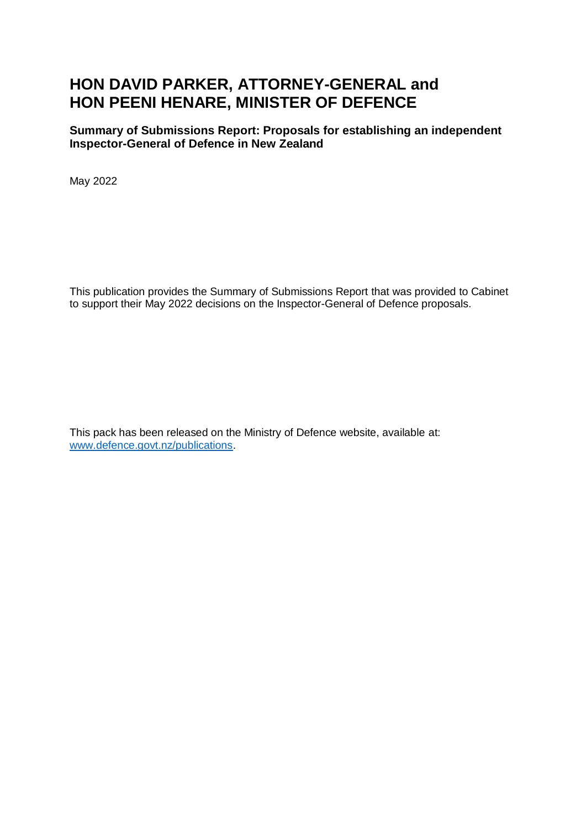# **HON DAVID PARKER, ATTORNEY-GENERAL and HON PEENI HENARE, MINISTER OF DEFENCE**

**Summary of Submissions Report: Proposals for establishing an independent Inspector-General of Defence in New Zealand**

May 2022

This publication provides the Summary of Submissions Report that was provided to Cabinet to support their May 2022 decisions on the Inspector-General of Defence proposals.

This pack has been released on the Ministry of Defence website, available at: [www.defence.govt.nz/publications.](http://www.defence.govt.nz/publications)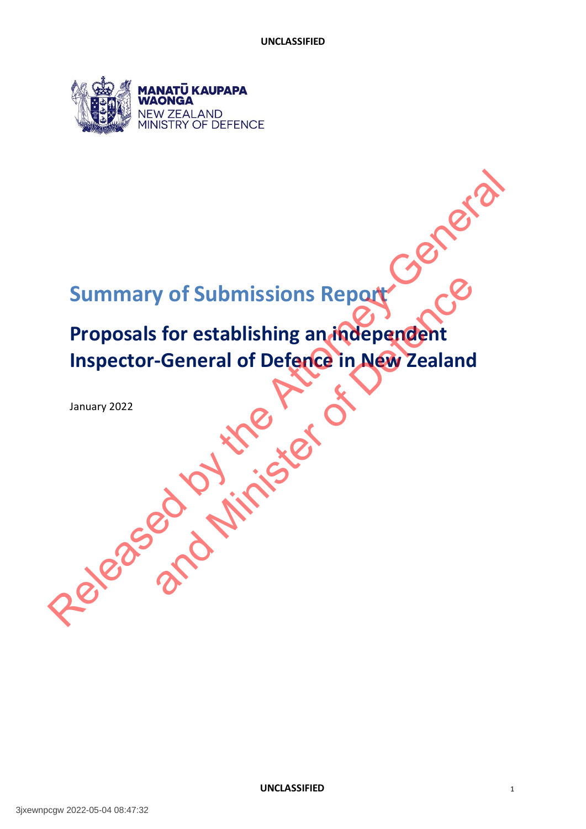

# **Summary of Submissions Report**

# **Proposals for establishing an independent Inspector-General of Defence in New Zealand**  Summary of Submissions Report export of Submissions Report<br>
is for establishing an independent<br>
-General of Defence in New Zealand<br>
and the Contract of Contract of Submissions Report<br>
2020<br>
2020<br>
2020

January 2022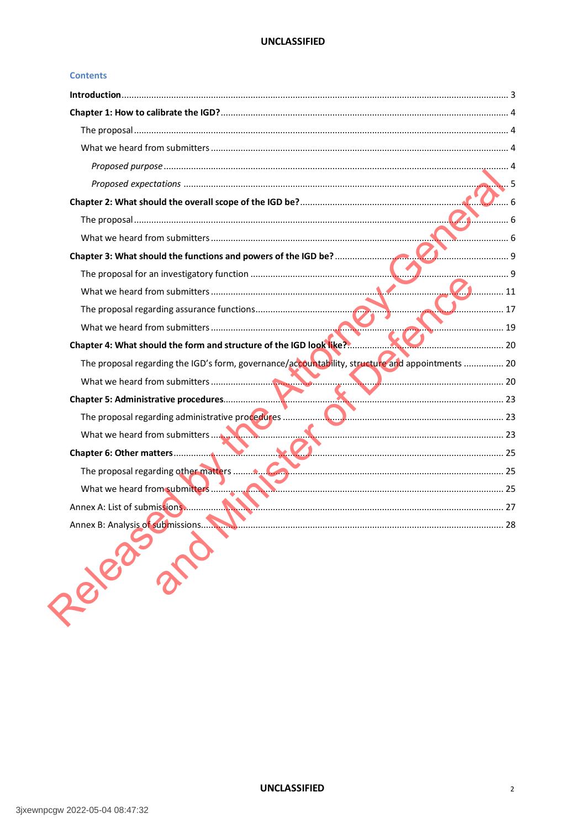#### **Contents**

|                                                                                                  | $\mathcal{U}_1$ 11 |
|--------------------------------------------------------------------------------------------------|--------------------|
|                                                                                                  |                    |
|                                                                                                  | 19                 |
|                                                                                                  |                    |
| The proposal regarding the IGD's form, governance/accountability, structure and appointments  20 |                    |
|                                                                                                  |                    |
|                                                                                                  |                    |
|                                                                                                  |                    |
|                                                                                                  |                    |
|                                                                                                  |                    |
|                                                                                                  |                    |
|                                                                                                  |                    |
|                                                                                                  |                    |
|                                                                                                  |                    |
| Persiant Collection                                                                              |                    |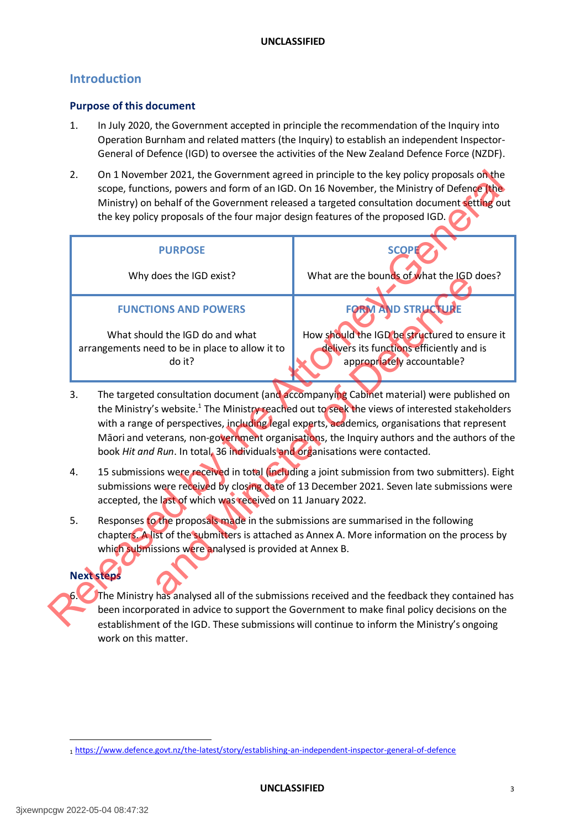# <span id="page-3-0"></span>**Introduction**

#### **Purpose of this document**

- 1. In July 2020, the Government accepted in principle the recommendation of the Inquiry into Operation Burnham and related matters (the Inquiry) to establish an independent Inspector-General of Defence (IGD) to oversee the activities of the New Zealand Defence Force (NZDF).
- 2. On 1 November 2021, the Government agreed in principle to the key policy proposals on the scope, functions, powers and form of an IGD. On 16 November, the Ministry of Defence (the Ministry) on behalf of the Government released a targeted consultation document setting out the key policy proposals of the four major design features of the proposed IGD.

| 2. | the key policy proposals of the four major design features of the proposed IGD.                                                                                                                                                                                                                                                                                                                                                                                                          | On 1 November 2021, the Government agreed in principle to the key policy proposals on the<br>scope, functions, powers and form of an IGD. On 16 November, the Ministry of Defence (the<br>Ministry) on behalf of the Government released a targeted consultation document setting out |  |
|----|------------------------------------------------------------------------------------------------------------------------------------------------------------------------------------------------------------------------------------------------------------------------------------------------------------------------------------------------------------------------------------------------------------------------------------------------------------------------------------------|---------------------------------------------------------------------------------------------------------------------------------------------------------------------------------------------------------------------------------------------------------------------------------------|--|
|    | <b>PURPOSE</b>                                                                                                                                                                                                                                                                                                                                                                                                                                                                           | <b>SCOPE</b>                                                                                                                                                                                                                                                                          |  |
|    | Why does the IGD exist?                                                                                                                                                                                                                                                                                                                                                                                                                                                                  | What are the bounds of what the IGD does?                                                                                                                                                                                                                                             |  |
|    | <b>FUNCTIONS AND POWERS</b>                                                                                                                                                                                                                                                                                                                                                                                                                                                              | <b>FORM AND STRUCTURE</b>                                                                                                                                                                                                                                                             |  |
|    | What should the IGD do and what<br>arrangements need to be in place to allow it to<br>do it?                                                                                                                                                                                                                                                                                                                                                                                             | How should the IGD be structured to ensure it<br>delivers its functions efficiently and is<br>appropriately accountable?                                                                                                                                                              |  |
| 3. | The targeted consultation document (and accompanying Cabinet material) were published on<br>the Ministry's website. <sup>1</sup> The Ministry reached out to seek the views of interested stakeholders<br>with a range of perspectives, including legal experts, academics, organisations that represent<br>Māori and veterans, non-government organisations, the Inquiry authors and the authors of the<br>book Hit and Run. In total, 36 individuals and organisations were contacted. |                                                                                                                                                                                                                                                                                       |  |
| 4. | 15 submissions were received in total (including a joint submission from two submitters). Eight<br>submissions were received by closing date of 13 December 2021. Seven late submissions were<br>accepted, the last of which was received on 11 January 2022.                                                                                                                                                                                                                            |                                                                                                                                                                                                                                                                                       |  |
| 5. | Responses to the proposals made in the submissions are summarised in the following<br>chapters. A list of the submitters is attached as Annex A. More information on the process by<br>which submissions were analysed is provided at Annex B.                                                                                                                                                                                                                                           |                                                                                                                                                                                                                                                                                       |  |
| 6. | <b>Next steps</b>                                                                                                                                                                                                                                                                                                                                                                                                                                                                        | The Ministry has analysed all of the submissions received and the feedback they contained has                                                                                                                                                                                         |  |
|    |                                                                                                                                                                                                                                                                                                                                                                                                                                                                                          | been incorporated in advice to support the Government to make final policy decisions on the                                                                                                                                                                                           |  |
|    |                                                                                                                                                                                                                                                                                                                                                                                                                                                                                          | establishment of the IGD. These submissions will continue to inform the Ministry's ongoing                                                                                                                                                                                            |  |

- 3. The targeted consultation document (and accompanying Cabinet material) were published on the Ministry's website.<sup>1</sup> The Ministry reached out to seek the views of interested stakeholders with a range of perspectives, including legal experts, academics, organisations that represent Māori and veterans, non-government organisations, the Inquiry authors and the authors of the book *Hit and Run*. In total, 36 individuals and organisations were contacted.
- 4. 15 submissions were received in total (including a joint submission from two submitters). Eight submissions were received by closing date of 13 December 2021. Seven late submissions were accepted, the last of which was received on 11 January 2022.
- 5. Responses to the proposals made in the submissions are summarised in the following chapters. A list of the submitters is attached as Annex A. More information on the process by which submissions were analysed is provided at Annex B.

# **Next steps**

The Ministry has analysed all of the submissions received and the feedback they contained has been incorporated in advice to support the Government to make final policy decisions on the establishment of the IGD. These submissions will continue to inform the Ministry's ongoing work on this matter.

 $\overline{a}$ 

<sup>1</sup> https://www.defence.govt.nz/the-latest/story/establishing-an-independent-inspector-general-of-defence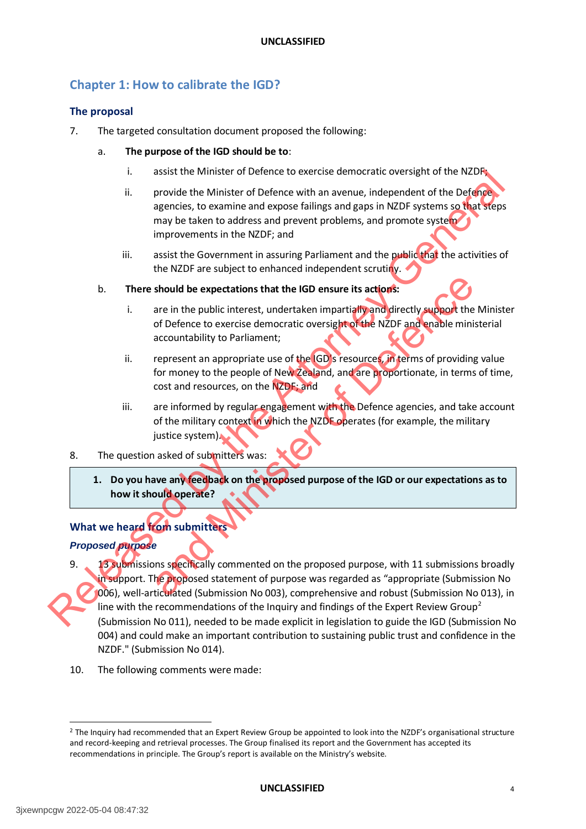# <span id="page-4-0"></span>**Chapter 1: How to calibrate the IGD?**

#### <span id="page-4-1"></span>**The proposal**

- 7. The targeted consultation document proposed the following:
	- a. **The purpose of the IGD should be to**:
		- i. assist the Minister of Defence to exercise democratic oversight of the NZDF;
		- ii. provide the Minister of Defence with an avenue, independent of the Defence agencies, to examine and expose failings and gaps in NZDF systems so that steps may be taken to address and prevent problems, and promote system improvements in the NZDF; and
		- iii. assist the Government in assuring Parliament and the public that the activities of the NZDF are subject to enhanced independent scrutiny.
	- b. **There should be expectations that the IGD ensure its actions:** 
		- i. are in the public interest, undertaken impartially and directly support the Minister of Defence to exercise democratic oversight of the NZDF and enable ministerial accountability to Parliament;
		- ii. represent an appropriate use of the IGD's resources, in terms of providing value for money to the people of New Zealand, and are proportionate, in terms of time, cost and resources, on the NZDF; and
		- iii. are informed by regular engagement with the Defence agencies, and take account of the military context in which the NZDF operates (for example, the military justice system).
- 8. The question asked of submitters was:
	- **1. Do you have any feedback on the proposed purpose of the IGD or our expectations as to how it should operate?**

# <span id="page-4-2"></span>**What we heard from submitters**

# <span id="page-4-3"></span>*Proposed purpose*

- 9. 13 submissions specifically commented on the proposed purpose, with 11 submissions broadly in support. The proposed statement of purpose was regarded as "appropriate (Submission No 006), well-articulated (Submission No 003), comprehensive and robust (Submission No 013), in line with the recommendations of the Inquiry and findings of the Expert Review Group<sup>2</sup> (Submission No 011), needed to be made explicit in legislation to guide the IGD (Submission No 004) and could make an important contribution to sustaining public trust and confidence in the NZDF." (Submission No 014). France Minister of Defence to the Minister of Defence with an avenue, independent of the N2D systems so that steps<br>agencies, to examine and expose failings and gaps in NZDF systems so that steps<br>improvements in the NZDF; a should be expectations that the IGD ensure its actions:<br>
are in the public interest, undertaken impartially and directly support the<br>
of Defence to exercise democratic oversight of the NZDF and enable mini<br>
accountability
	- 10. The following comments were made:

 $\overline{a}$ 

<sup>2</sup> The Inquiry had recommended that an Expert Review Group be appointed to look into the NZDF's organisational structure and record-keeping and retrieval processes. The Group finalised its report and the Government has accepted its recommendations in principle. The Group's report is available on the Ministry's website.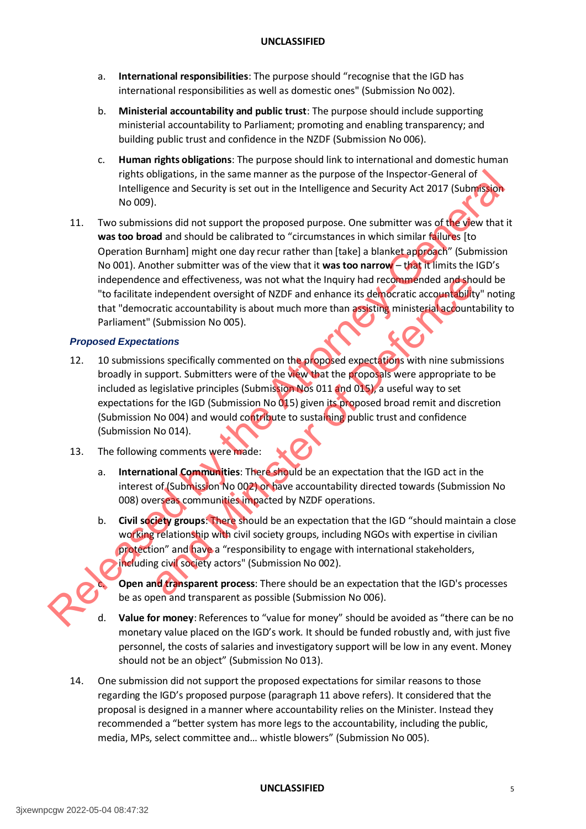- a. **International responsibilities**: The purpose should "recognise that the IGD has international responsibilities as well as domestic ones" (Submission No 002).
- b. **Ministerial accountability and public trust**: The purpose should include supporting ministerial accountability to Parliament; promoting and enabling transparency; and building public trust and confidence in the NZDF (Submission No 006).
- c. **Human rights obligations**: The purpose should link to international and domestic human rights obligations, in the same manner as the purpose of the Inspector-General of Intelligence and Security is set out in the Intelligence and Security Act 2017 (Submission No 009).
- 11. Two submissions did not support the proposed purpose. One submitter was of the view that it **was too broad** and should be calibrated to "circumstances in which similar failures [to Operation Burnham] might one day recur rather than [take] a blanket approach" (Submission No 001). Another submitter was of the view that it **was too narrow** – that it limits the IGD's independence and effectiveness, was not what the Inquiry had recommended and should be "to facilitate independent oversight of NZDF and enhance its democratic accountability" noting that "democratic accountability is about much more than assisting ministerial accountability to Parliament" (Submission No 005). rights obligations, in the same manners the purpose of the line pectro-General of the spectral of the system of the system of the system of the system of the system of the Attorney-General of the Att was too broad and sho

#### <span id="page-5-0"></span>*Proposed Expectations*

- 12. 10 submissions specifically commented on the proposed expectations with nine submissions broadly in support. Submitters were of the view that the proposals were appropriate to be included as legislative principles (Submission Nos 011 and 015), a useful way to set expectations for the IGD (Submission No 015) given its proposed broad remit and discretion (Submission No 004) and would contribute to sustaining public trust and confidence (Submission No 014). ie and effectiveness, was not what the Inquiry had recommended and ship independent oversight of NZDF and enhance its democratic accountability (Submission No 005).<br> **Examples the Control of NATU and America** accounts (Sub
- 13. The following comments were made:
	- a. **International Communities**: There should be an expectation that the IGD act in the interest of (Submission No 002) or have accountability directed towards (Submission No 008) overseas communities impacted by NZDF operations.
	- b. **Civil society groups**: There should be an expectation that the IGD "should maintain a close working relationship with civil society groups, including NGOs with expertise in civilian protection" and have a "responsibility to engage with international stakeholders, including civil society actors" (Submission No 002).

**Open and transparent process:** There should be an expectation that the IGD's processes be as open and transparent as possible (Submission No 006).

- **Value for money**: References to "value for money" should be avoided as "there can be no monetary value placed on the IGD's work. It should be funded robustly and, with just five personnel, the costs of salaries and investigatory support will be low in any event. Money should not be an object" (Submission No 013).
- 14. One submission did not support the proposed expectations for similar reasons to those regarding the IGD's proposed purpose (paragraph 11 above refers). It considered that the proposal is designed in a manner where accountability relies on the Minister. Instead they recommended a "better system has more legs to the accountability, including the public, media, MPs, select committee and… whistle blowers" (Submission No 005).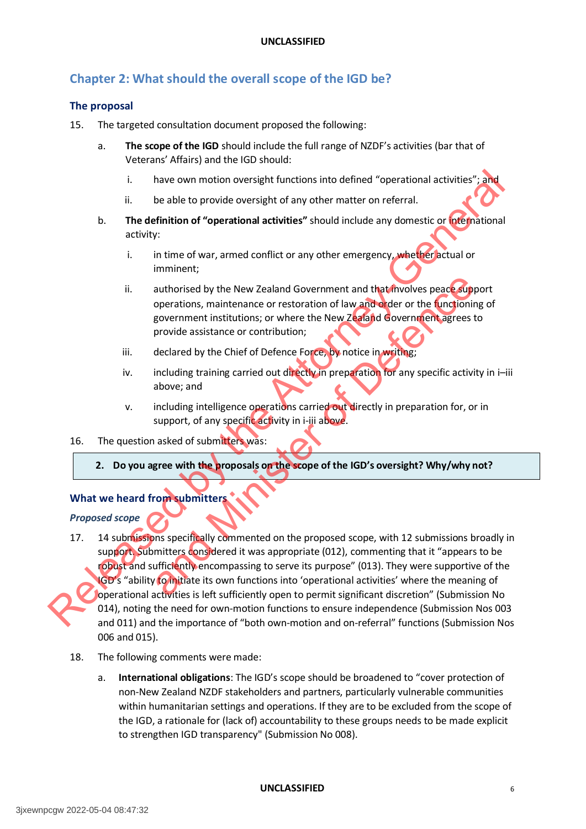# <span id="page-6-0"></span>**Chapter 2: What should the overall scope of the IGD be?**

#### <span id="page-6-1"></span>**The proposal**

- 15. The targeted consultation document proposed the following:
	- a. **The scope of the IGD** should include the full range of NZDF's activities (bar that of Veterans' Affairs) and the IGD should:
		- i. have own motion oversight functions into defined "operational activities"; and
		- ii. be able to provide oversight of any other matter on referral.
	- b. **The definition of "operational activities"** should include any domestic or international activity:
		- i. in time of war, armed conflict or any other emergency, whether actual or imminent;
		- ii. authorised by the New Zealand Government and that involves peace support operations, maintenance or restoration of law and order or the functioning of government institutions; or where the New Zealand Government agrees to provide assistance or contribution;
		- iii. declared by the Chief of Defence Force, by notice in writing;
		- iv. including training carried out directly in preparation for any specific activity in i-iii above; and
		- v. including intelligence operations carried out directly in preparation for, or in support, of any specific activity in i-iii above.

#### 16. The question asked of submitters was:

**2. Do you agree with the proposals on the scope of the IGD's oversight? Why/why not?**

#### <span id="page-6-2"></span>**What we heard from submitters**

#### *Proposed scope*

- 17. 14 submissions specifically commented on the proposed scope, with 12 submissions broadly in support. Submitters considered it was appropriate (012), commenting that it "appears to be robust and sufficiently encompassing to serve its purpose" (013). They were supportive of the IGD's "ability to initiate its own functions into 'operational activities' where the meaning of operational activities is left sufficiently open to permit significant discretion" (Submission No 014), noting the need for own-motion functions to ensure independence (Submission Nos 003 and 011) and the importance of "both own-motion and on-referral" functions (Submission Nos 006 and 015). France over motion oversight functions into defined "operational activities"; and<br>
i. be able to provide oversight of any other matter on referral.<br> **b.** The definition of "operational activities" should include any domest authorised by the New Zealand Government and that fivolves peaces to<br>operations, maintenance or restoration of law and order or the functionia<br>government institutions; or where the New Zealand Government agrees is<br>provide
	- 18. The following comments were made:
		- a. **International obligations**: The IGD's scope should be broadened to "cover protection of non-New Zealand NZDF stakeholders and partners, particularly vulnerable communities within humanitarian settings and operations. If they are to be excluded from the scope of the IGD, a rationale for (lack of) accountability to these groups needs to be made explicit to strengthen IGD transparency" (Submission No 008).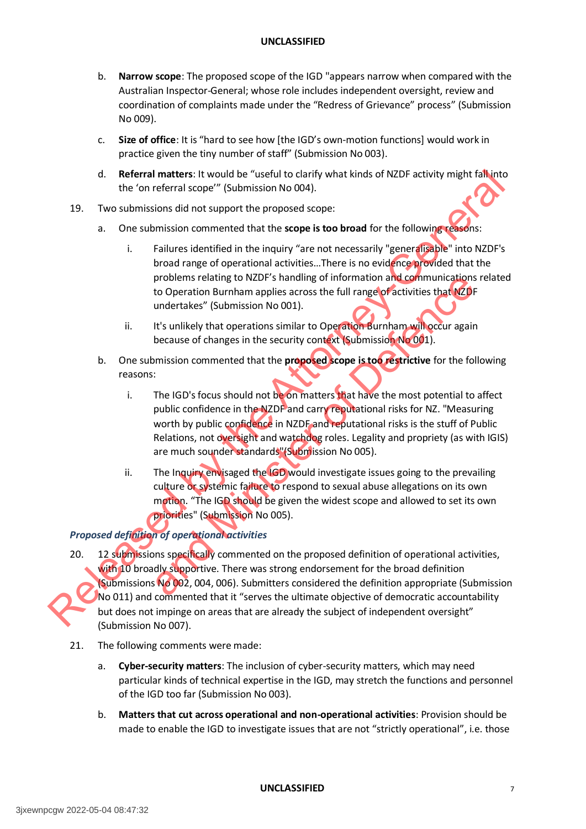- b. **Narrow scope**: The proposed scope of the IGD "appears narrow when compared with the Australian Inspector-General; whose role includes independent oversight, review and coordination of complaints made under the "Redress of Grievance" process" (Submission No 009).
- c. **Size of office**: It is "hard to see how [the IGD's own-motion functions] would work in practice given the tiny number of staff" (Submission No 003).
- d. **Referral matters**: It would be "useful to clarify what kinds of NZDF activity might fall into the 'on referral scope'" (Submission No 004).
- 19. Two submissions did not support the proposed scope:
	- a. One submission commented that the **scope is too broad** for the following reasons:
		- i. Failures identified in the inquiry "are not necessarily "generalisable" into NZDF's broad range of operational activities…There is no evidence provided that the problems relating to NZDF's handling of information and communications related to Operation Burnham applies across the full range of activities that NZDF undertakes" (Submission No 001).
		- ii. It's unlikely that operations similar to Operation Burnham will occur again because of changes in the security context (Submission No 001).
	- b. One submission commented that the **proposed scope is too restrictive** for the following reasons:
- i. The IGD's focus should not be on matters that have the most potential to affect public confidence in the NZDF and carry reputational risks for NZ. "Measuring worth by public confidence in NZDF and reputational risks is the stuff of Public Relations, not oversight and watchdog roles. Legality and propriety (as with IGIS) are much sounder standards"(Submission No 005). problems relating to NZDF's nandling of information and communications<br>to Operation Burnham applies across the full range of activities that NZDI<br>undertakes" (Submission No 001).<br>It's unlikely that operations similar to Op
	- ii. The Inquiry envisaged the IGD would investigate issues going to the prevailing culture or systemic failure to respond to sexual abuse allegations on its own motion. "The IGD should be given the widest scope and allowed to set its own priorities" (Submission No 005).

# *Proposed definition of operational activities*

- 20. 12 submissions specifically commented on the proposed definition of operational activities, with 10 broadly supportive. There was strong endorsement for the broad definition (Submissions No 002, 004, 006). Submitters considered the definition appropriate (Submission No 011) and commented that it "serves the ultimate objective of democratic accountability but does not impinge on areas that are already the subject of independent oversight" (Submission No 007). d. Referal andters: It would be "useful to distribute and the value of the Subsection of the state of the state of the state of the state of the state interval scheme is to broad for the following the state that the propo
	- 21. The following comments were made:
		- a. **Cyber-security matters**: The inclusion of cyber-security matters, which may need particular kinds of technical expertise in the IGD, may stretch the functions and personnel of the IGD too far (Submission No 003).
		- b. **Matters that cut across operational and non-operational activities**: Provision should be made to enable the IGD to investigate issues that are not "strictly operational", i.e. those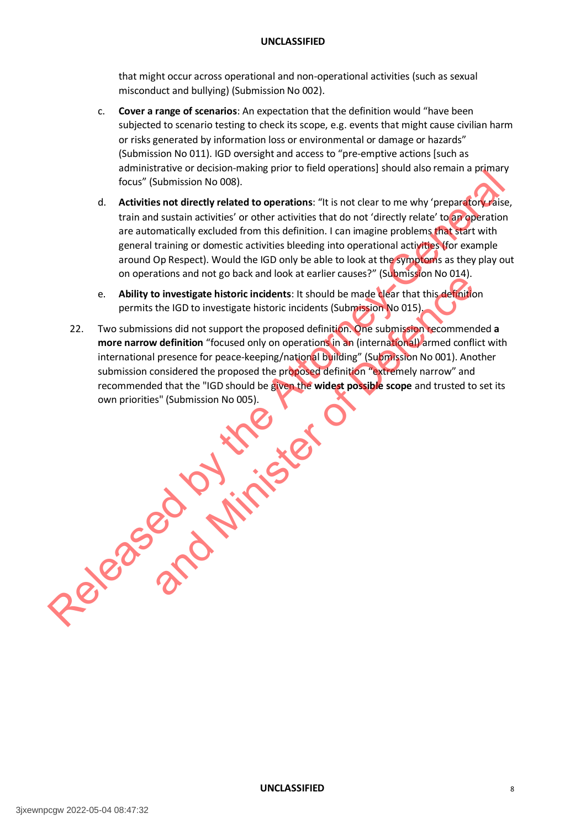that might occur across operational and non-operational activities (such as sexual misconduct and bullying) (Submission No 002).

- c. **Cover a range of scenarios**: An expectation that the definition would "have been subjected to scenario testing to check its scope, e.g. events that might cause civilian harm or risks generated by information loss or environmental or damage or hazards" (Submission No 011). IGD oversight and access to "pre-emptive actions [such as administrative or decision-making prior to field operations] should also remain a primary focus" (Submission No 008).
- d. **Activities not directly related to operations**: "It is not clear to me why 'preparatory raise, train and sustain activities' or other activities that do not 'directly relate' to an operation are automatically excluded from this definition. I can imagine problems that start with general training or domestic activities bleeding into operational activities (for example around Op Respect). Would the IGD only be able to look at the symptoms as they play out on operations and not go back and look at earlier causes?" (Submission No 014).
- e. **Ability to investigate historic incidents**: It should be made clear that this definition permits the IGD to investigate historic incidents (Submission No 015).
- 22. Two submissions did not support the proposed definition. One submission recommended **a more narrow definition** "focused only on operations in an (international) armed conflict with international presence for peace-keeping/national building" (Submission No 001). Another submission considered the proposed the proposed definition "extremely narrow" and recommended that the "IGD should be given the **widest possible scope** and trusted to set its own priorities" (Submission No 005). Example the model and the material of the Attorney-General operations and the Attorney-General operation and the material operation of the material operation are automatically excluded from this definition. I can imagine p and Ministers in the Republicant Schular Leman Control Control of the Republicant Control of the IGD to investigate historic incidents (Submission No 015), cions did not support the proposed definition. One submission reco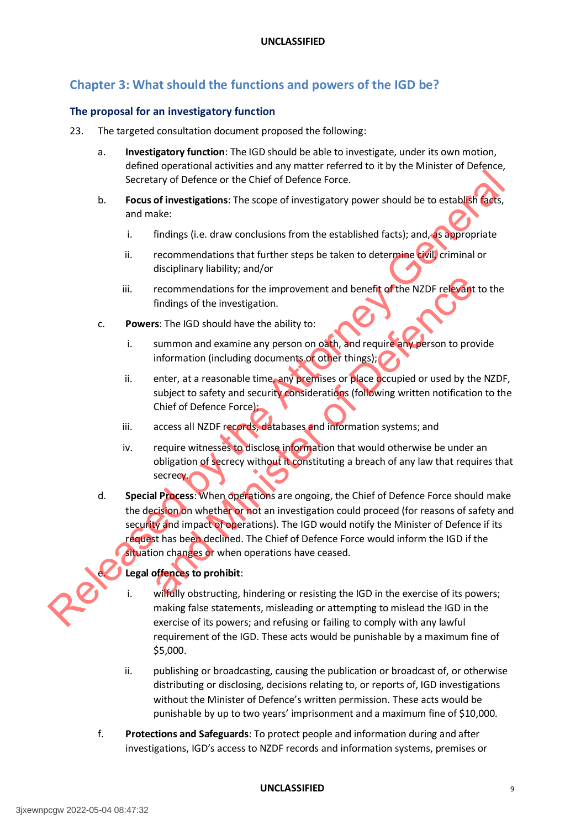# <span id="page-9-0"></span>**Chapter 3: What should the functions and powers of the IGD be?**

#### <span id="page-9-1"></span>**The proposal for an investigatory function**

- 23. The targeted consultation document proposed the following:
	- a. **Investigatory function**: The IGD should be able to investigate, under its own motion, defined operational activities and any matter referred to it by the Minister of Defence, Secretary of Defence or the Chief of Defence Force.
	- b. **Focus of investigations**: The scope of investigatory power should be to establish facts, and make:
		- i. findings (i.e. draw conclusions from the established facts); and, as appropriate
		- ii. recommendations that further steps be taken to determine civil, criminal or disciplinary liability; and/or
		- iii. recommendations for the improvement and benefit of the NZDF relevant to the findings of the investigation.
	- c. **Powers**: The IGD should have the ability to:
		- i. summon and examine any person on oath, and require any person to provide information (including documents or other things);
		- ii. enter, at a reasonable time, any premises or place occupied or used by the NZDF, subject to safety and security considerations (following written notification to the Chief of Defence Force);
		- iii. access all NZDF records, databases and information systems; and
		- iv. require witnesses to disclose information that would otherwise be under an obligation of secrecy without it constituting a breach of any law that requires that secrecy.
- d. **Special Process**: When operations are ongoing, the Chief of Defence Force should make the decision on whether or not an investigation could proceed (for reasons of safety and security and impact of operations). The IGD would notify the Minister of Defence if its request has been declined. The Chief of Defence Force would inform the IGD if the situation changes or when operations have ceased. Secretary of Defence or the Chief of Defence Force.<br> **By Couse of investigations:** The scope of investigatory power should be to estable it distinguishes and make:<br>
i. findings (i.e. draw condusions from the established fa recommendations for the improvement and benefit of the NZDF relevant<br>findings of the investigation.<br>SIES The IGD should have the ability to:<br>SIES The IGD should have the ability to:<br>SIES The IGD should have the ability to:

# Legal offences to prohibit:

- wilfully obstructing, hindering or resisting the IGD in the exercise of its powers; making false statements, misleading or attempting to mislead the IGD in the exercise of its powers; and refusing or failing to comply with any lawful requirement of the IGD. These acts would be punishable by a maximum fine of \$5,000.
- ii. publishing or broadcasting, causing the publication or broadcast of, or otherwise distributing or disclosing, decisions relating to, or reports of, IGD investigations without the Minister of Defence's written permission. These acts would be punishable by up to two years' imprisonment and a maximum fine of \$10,000.
- f. **Protections and Safeguards**: To protect people and information during and after investigations, IGD's access to NZDF records and information systems, premises or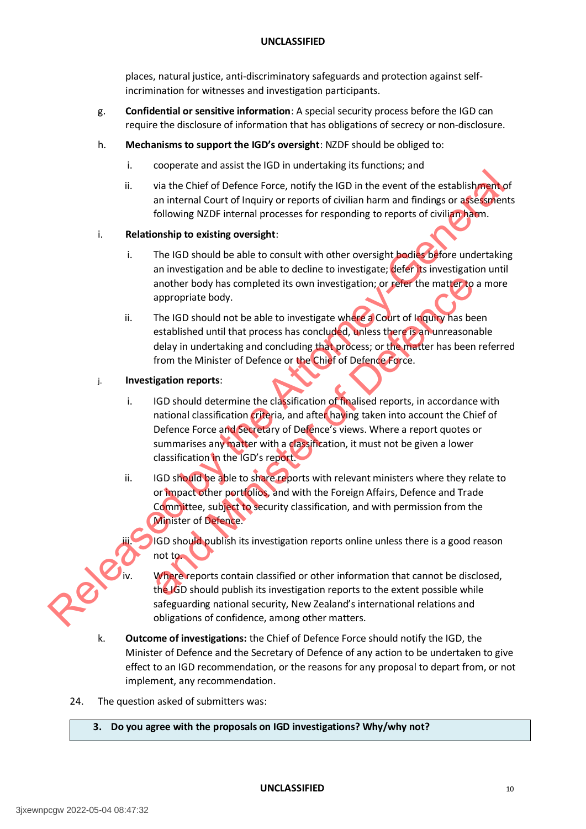places, natural justice, anti-discriminatory safeguards and protection against selfincrimination for witnesses and investigation participants.

- g. **Confidential or sensitive information**: A special security process before the IGD can require the disclosure of information that has obligations of secrecy or non-disclosure.
- h. **Mechanisms to support the IGD's oversight**: NZDF should be obliged to:
	- i. cooperate and assist the IGD in undertaking its functions; and
	- ii. via the Chief of Defence Force, notify the IGD in the event of the establishment of an internal Court of Inquiry or reports of civilian harm and findings or assessments following NZDF internal processes for responding to reports of civilian harm.

#### i. **Relationship to existing oversight**:

- i. The IGD should be able to consult with other oversight bodies before undertaking an investigation and be able to decline to investigate; defer its investigation until another body has completed its own investigation; or refer the matter to a more appropriate body.
- ii. The IGD should not be able to investigate where a Court of Inquiry has been established until that process has concluded, unless there is an unreasonable delay in undertaking and concluding that process; or the matter has been referred from the Minister of Defence or the Chief of Defence Force.

#### j. **Investigation reports**:

- i. IGD should determine the classification of finalised reports, in accordance with national classification criteria, and after having taken into account the Chief of Defence Force and Secretary of Defence's views. Where a report quotes or summarises any matter with a classification, it must not be given a lower classification in the IGD's report. II. via the Chief of Defence Force, notify the IGD in the event of the establishmental count of inquiry or reports of civilian harm and findings or a general count of inquiry and relationship to existing oversight:<br> **Rel** another body has completed its own investigation; or refer the matter to<br>appropriate body.<br>The IGD should not be able to investigate where a Court of liquity has be<br>established until that process has concluded, unless ther
	- ii. IGD should be able to share reports with relevant ministers where they relate to or impact other portfolios, and with the Foreign Affairs, Defence and Trade Committee, subject to security classification, and with permission from the Minister of Defence.
		- IGD should publish its investigation reports online unless there is a good reason not to.
		- Where reports contain classified or other information that cannot be disclosed, the IGD should publish its investigation reports to the extent possible while safeguarding national security, New Zealand's international relations and obligations of confidence, among other matters.
	- k. **Outcome of investigations:** the Chief of Defence Force should notify the IGD, the Minister of Defence and the Secretary of Defence of any action to be undertaken to give effect to an IGD recommendation, or the reasons for any proposal to depart from, or not implement, any recommendation.
	- 24. The question asked of submitters was:

#### **3. Do you agree with the proposals on IGD investigations? Why/why not?**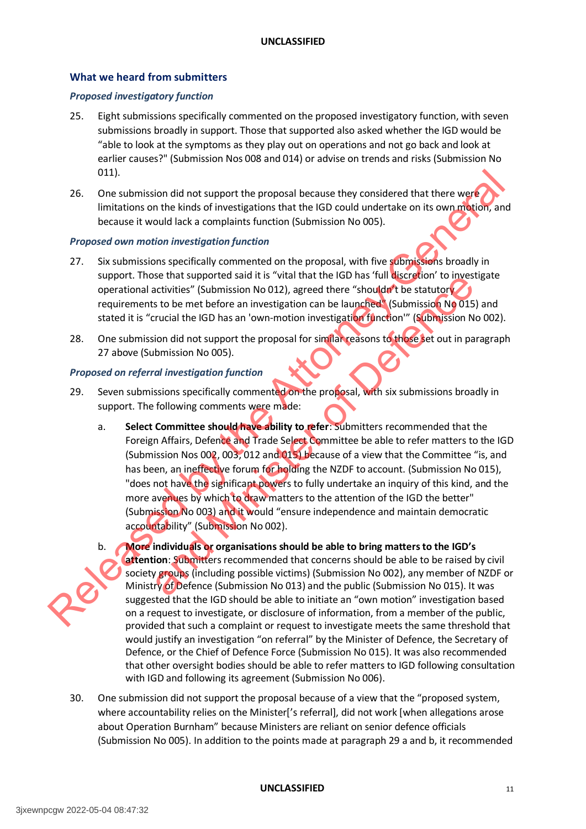#### <span id="page-11-0"></span>**What we heard from submitters**

#### *Proposed investigatory function*

- 25. Eight submissions specifically commented on the proposed investigatory function, with seven submissions broadly in support. Those that supported also asked whether the IGD would be "able to look at the symptoms as they play out on operations and not go back and look at earlier causes?" (Submission Nos 008 and 014) or advise on trends and risks (Submission No 011).
- 26. One submission did not support the proposal because they considered that there were limitations on the kinds of investigations that the IGD could undertake on its own motion, and because it would lack a complaints function (Submission No 005).

#### *Proposed own motion investigation function*

- 27. Six submissions specifically commented on the proposal, with five submissions broadly in support. Those that supported said it is "vital that the IGD has 'full discretion' to investigate operational activities" (Submission No 012), agreed there "shouldn't be statutory requirements to be met before an investigation can be launched" (Submission No 015) and stated it is "crucial the IGD has an 'own-motion investigation function'" (Submission No 002).
- 28. One submission did not support the proposal for similar reasons to those set out in paragraph 27 above (Submission No 005).

#### *Proposed on referral investigation function*

- 29. Seven submissions specifically commented on the proposal, with six submissions broadly in support. The following comments were made:
- a. **Select Committee should have ability to refer**: Submitters recommended that the Foreign Affairs, Defence and Trade Select Committee be able to refer matters to the IGD (Submission Nos 002, 003, 012 and 015) because of a view that the Committee "is, and has been, an ineffective forum for holding the NZDF to account. (Submission No 015), "does not have the significant powers to fully undertake an inquiry of this kind, and the more avenues by which to draw matters to the attention of the IGD the better" (Submission No 003) and it would "ensure independence and maintain democratic accountability" (Submission No 002). 2011<br>
2011<br>
2011<br>
2011 Consideration did not support the proposal because they considered that there were<br>
limitations on the kinds of investigations that the IGD could undertake on its own method<br>
25. Six submissions spec Se una supported said it is vican time the isotropic mode said to the control of the set the set that the statutor's sto be met before an investigation can be launched (Submission No 015 structial the IGD has an 'own-motio
	- b. **More individuals or organisations should be able to bring matters to the IGD's attention**: Submitters recommended that concerns should be able to be raised by civil society groups (including possible victims) (Submission No 002), any member of NZDF or Ministry of Defence (Submission No 013) and the public (Submission No 015). It was suggested that the IGD should be able to initiate an "own motion" investigation based on a request to investigate, or disclosure of information, from a member of the public, provided that such a complaint or request to investigate meets the same threshold that would justify an investigation "on referral" by the Minister of Defence, the Secretary of Defence, or the Chief of Defence Force (Submission No 015). It was also recommended that other oversight bodies should be able to refer matters to IGD following consultation with IGD and following its agreement (Submission No 006).
	- 30. One submission did not support the proposal because of a view that the "proposed system, where accountability relies on the Minister['s referral], did not work [when allegations arose about Operation Burnham" because Ministers are reliant on senior defence officials (Submission No 005). In addition to the points made at paragraph 29 a and b, it recommended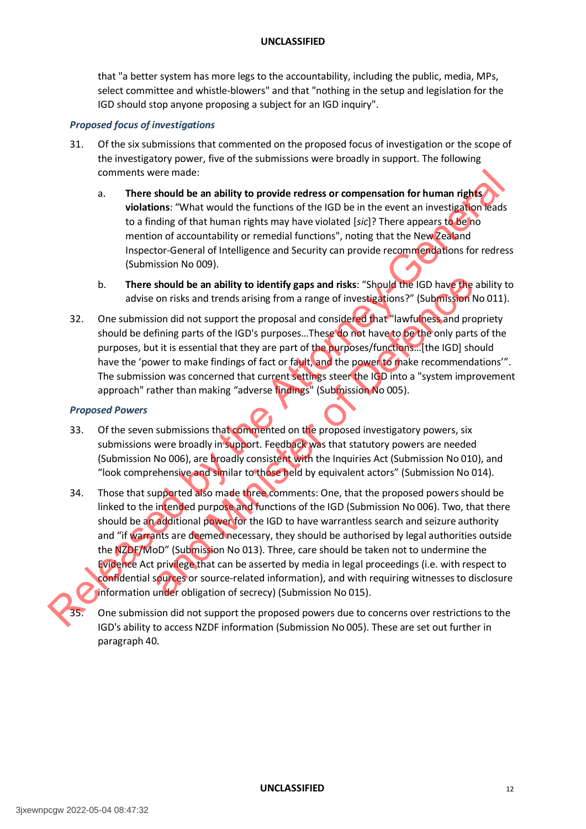that "a better system has more legs to the accountability, including the public, media, MPs, select committee and whistle-blowers" and that "nothing in the setup and legislation for the IGD should stop anyone proposing a subject for an IGD inquiry".

#### *Proposed focus of investigations*

- 31. Of the six submissions that commented on the proposed focus of investigation or the scope of the investigatory power, five of the submissions were broadly in support. The following comments were made:
	- a. **There should be an ability to provide redress or compensation for human rights violations**: "What would the functions of the IGD be in the event an investigation leads to a finding of that human rights may have violated [*sic*]? There appears to be no mention of accountability or remedial functions", noting that the New Zealand Inspector-General of Intelligence and Security can provide recommendations for redress (Submission No 009).
	- b. **There should be an ability to identify gaps and risks**: "Should the IGD have the ability to advise on risks and trends arising from a range of investigations?" (Submission No 011).
- 32. One submission did not support the proposal and considered that "lawfulness and propriety should be defining parts of the IGD's purposes…These do not have to be the only parts of the purposes, but it is essential that they are part of the purposes/functions…[the IGD] should have the 'power to make findings of fact or fault, and the power to make recommendations'". The submission was concerned that current settings steer the IGD into a "system improvement approach" rather than making "adverse findings" (Submission No 005).

#### *Proposed Powers*

- 33. Of the seven submissions that commented on the proposed investigatory powers, six submissions were broadly in support. Feedback was that statutory powers are needed (Submission No 006), are broadly consistent with the Inquiries Act (Submission No 010), and "look comprehensive and similar to those held by equivalent actors" (Submission No 014).
- 34. Those that supported also made three comments: One, that the proposed powers should be linked to the intended purpose and functions of the IGD (Submission No 006). Two, that there should be an additional power for the IGD to have warrantless search and seizure authority and "if warrants are deemed necessary, they should be authorised by legal authorities outside the NZDF/MoD" (Submission No 013). Three, care should be taken not to undermine the Evidence Act privilege that can be asserted by media in legal proceedings (i.e. with respect to confidential sources or source-related information), and with requiring witnesses to disclosure information under obligation of secrecy) (Submission No 015). comments were model.<br>
There should be an ability to provide redress or compensation for human rights<br>
in the should be an ability to provide redress or compensation for human rights<br>
to a finding of that luminar rights ma should be an ability to identify gaps and risks: "Should the IGD have the<br>on risks and trends arising from a range of investigations?" (Submission i<br>ion did not support the proposal and considered that "lawfulness and pro<br>
	- 35. One submission did not support the proposed powers due to concerns over restrictions to the IGD's ability to access NZDF information (Submission No 005). These are set out further in paragraph 40.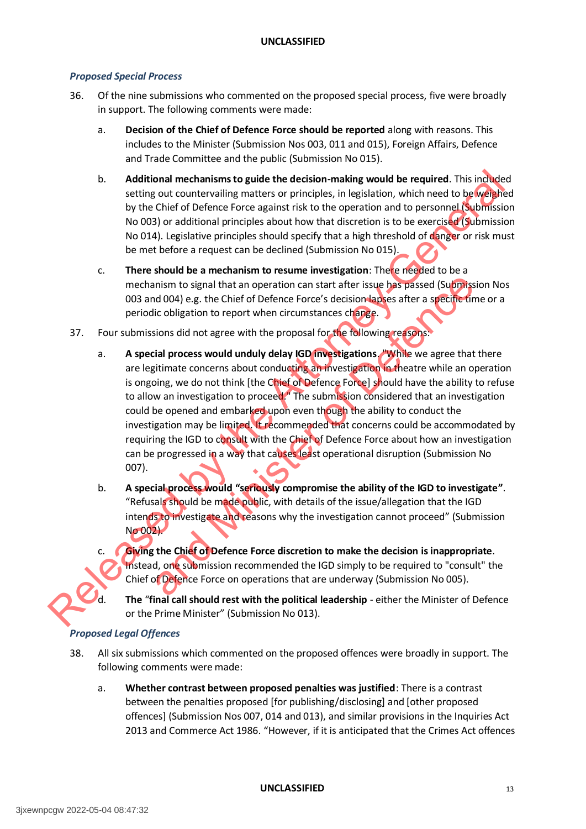#### *Proposed Special Process*

- 36. Of the nine submissions who commented on the proposed special process, five were broadly in support. The following comments were made:
	- a. **Decision of the Chief of Defence Force should be reported** along with reasons. This includes to the Minister (Submission Nos 003, 011 and 015), Foreign Affairs, Defence and Trade Committee and the public (Submission No 015).
	- b. **Additional mechanisms to guide the decision-making would be required**. This included setting out countervailing matters or principles, in legislation, which need to be weighed by the Chief of Defence Force against risk to the operation and to personnel (Submission No 003) or additional principles about how that discretion is to be exercised (Submission No 014). Legislative principles should specify that a high threshold of danger or risk must be met before a request can be declined (Submission No 015).
	- c. **There should be a mechanism to resume investigation**: There needed to be a mechanism to signal that an operation can start after issue has passed (Submission Nos 003 and 004) e.g. the Chief of Defence Force's decision lapses after a specific time or a periodic obligation to report when circumstances change.
- 37. Four submissions did not agree with the proposal for the following reasons:
- a. **A special process would unduly delay IGD investigations**. "While we agree that there are legitimate concerns about conducting an investigation in theatre while an operation is ongoing, we do not think [the Chief of Defence Force] should have the ability to refuse to allow an investigation to proceed." The submission considered that an investigation could be opened and embarked upon even though the ability to conduct the investigation may be limited. It recommended that concerns could be accommodated by requiring the IGD to consult with the Chief of Defence Force about how an investigation can be progressed in a way that causes least operational disruption (Submission No 007). B.<br>
Additional mechanisms to guide the decision-making would be required. This ingheled<br>
setting out courterousing matrixs to principles, the lightiation, which need to be<br>
by the Chief of Defence Force against risk to th mism to signal that an operation can start after issue has passed (Submission d004) e.g. the Chief of Defence Force's decision lapkes after a specific tire incolligation to report when circumstances chapte.<br>
Sions did not
	- b. **A special process would "seriously compromise the ability of the IGD to investigate"**. "Refusals should be made public, with details of the issue/allegation that the IGD intends to investigate and reasons why the investigation cannot proceed" (Submission No 002).
	- c. **Giving the Chief of Defence Force discretion to make the decision is inappropriate**. Instead, one submission recommended the IGD simply to be required to "consult" the Chief of Defence Force on operations that are underway (Submission No 005).

d. **The** "**final call should rest with the political leadership** - either the Minister of Defence or the Prime Minister" (Submission No 013).

#### *Proposed Legal Offences*

- 38. All six submissions which commented on the proposed offences were broadly in support. The following comments were made:
	- a. **Whether contrast between proposed penalties was justified**: There is a contrast between the penalties proposed [for publishing/disclosing] and [other proposed offences] (Submission Nos 007, 014 and 013), and similar provisions in the Inquiries Act 2013 and Commerce Act 1986. "However, if it is anticipated that the Crimes Act offences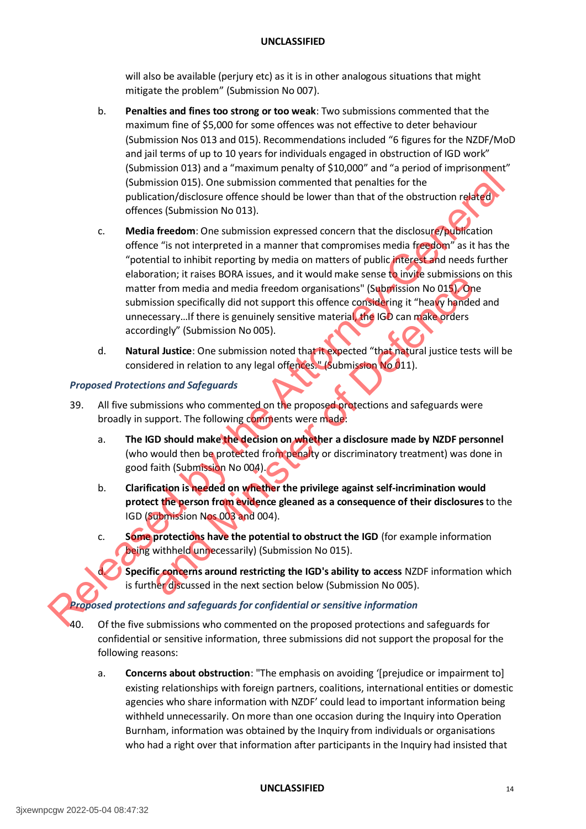will also be available (perjury etc) as it is in other analogous situations that might mitigate the problem" (Submission No 007).

- b. **Penalties and fines too strong or too weak**: Two submissions commented that the maximum fine of \$5,000 for some offences was not effective to deter behaviour (Submission Nos 013 and 015). Recommendations included "6 figures for the NZDF/MoD and jail terms of up to 10 years for individuals engaged in obstruction of IGD work" (Submission 013) and a "maximum penalty of \$10,000" and "a period of imprisonment" (Submission 015). One submission commented that penalties for the publication/disclosure offence should be lower than that of the obstruction related offences (Submission No 013).
- c. **Media freedom**: One submission expressed concern that the disclosure/publication offence "is not interpreted in a manner that compromises media freedom" as it has the "potential to inhibit reporting by media on matters of public interest and needs further elaboration; it raises BORA issues, and it would make sense to invite submissions on this matter from media and media freedom organisations" (Submission No 015). One submission specifically did not support this offence considering it "heavy handed and unnecessary...If there is genuinely sensitive material, the IGD can make orders accordingly" (Submission No 005). Countinuous contract the priorite of the priorite of the priorite of the priorite of the state of the priorite of the distortation of the distortation of the distortation of the distortation of the distortation of the con and The person in Wales and The Minister of the Captury (Submission No 015).<br>The from media and media freedom organisations" (Subplission No 015) On<br>the essary...If there is genuinely sensitive material. The IGD can make o
	- d. **Natural Justice**: One submission noted that it expected "that natural justice tests will be considered in relation to any legal offences." (Submission No 011).

#### *Proposed Protections and Safeguards*

- 39. All five submissions who commented on the proposed protections and safeguards were broadly in support. The following comments were made:
	- a. **The IGD should make the decision on whether a disclosure made by NZDF personnel** (who would then be protected from penalty or discriminatory treatment) was done in good faith (Submission No 004).
	- b. **Clarification is needed on whether the privilege against self-incrimination would protect the person from evidence gleaned as a consequence of their disclosures** to the IGD (Submission Nos 003 and 004).
	- c. **Some protections have the potential to obstruct the IGD** (for example information being withheld unnecessarily) (Submission No 015).

d. **Specific concerns around restricting the IGD's ability to access** NZDF information which is further discussed in the next section below (Submission No 005).

*Proposed protections and safeguards for confidential or sensitive information* 

- 40. Of the five submissions who commented on the proposed protections and safeguards for confidential or sensitive information, three submissions did not support the proposal for the following reasons:
	- a. **Concerns about obstruction**: "The emphasis on avoiding '[prejudice or impairment to] existing relationships with foreign partners, coalitions, international entities or domestic agencies who share information with NZDF' could lead to important information being withheld unnecessarily. On more than one occasion during the Inquiry into Operation Burnham, information was obtained by the Inquiry from individuals or organisations who had a right over that information after participants in the Inquiry had insisted that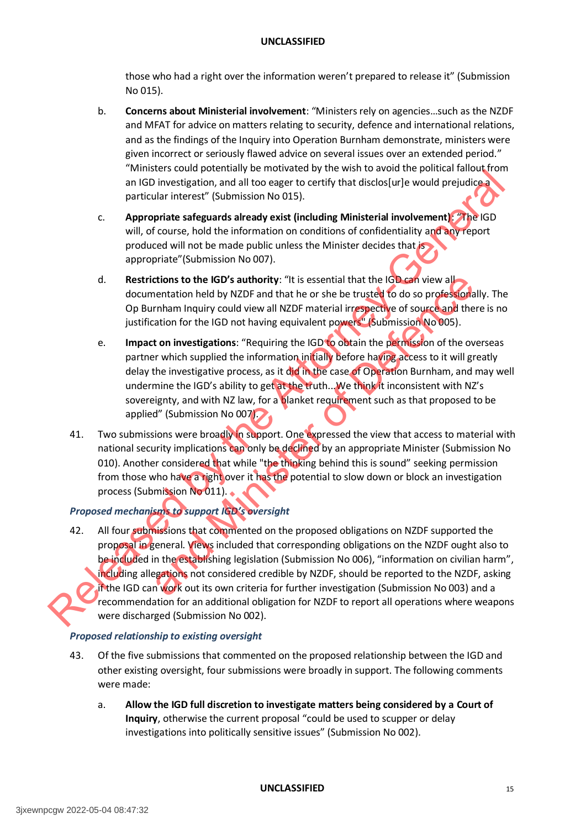those who had a right over the information weren't prepared to release it" (Submission No 015).

- b. **Concerns about Ministerial involvement**: "Ministers rely on agencies…such as the NZDF and MFAT for advice on matters relating to security, defence and international relations, and as the findings of the Inquiry into Operation Burnham demonstrate, ministers were given incorrect or seriously flawed advice on several issues over an extended period." "Ministers could potentially be motivated by the wish to avoid the political fallout from an IGD investigation, and all too eager to certify that disclos [ur]e would prejudice a particular interest" (Submission No 015).
- c. **Appropriate safeguards already exist (including Ministerial involvement)**: "The IGD will, of course, hold the information on conditions of confidentiality and any report produced will not be made public unless the Minister decides that is appropriate"(Submission No 007).
- d. **Restrictions to the IGD's authority**: "It is essential that the IGD can view all documentation held by NZDF and that he or she be trusted to do so professionally. The Op Burnham Inquiry could view all NZDF material irrespective of source and there is no justification for the IGD not having equivalent powers" (Submission No 005).
- e. **Impact on investigations**: "Requiring the IGD to obtain the permission of the overseas partner which supplied the information initially before having access to it will greatly delay the investigative process, as it did in the case of Operation Burnham, and may well undermine the IGD's ability to get at the truth... We think it inconsistent with NZ's sovereignty, and with NZ law, for a **b**lanket requirement such as that proposed to be applied" (Submission No 007). and the IGD's authority: "It is essential that the IGD can view all<br>
mentation held by NZDF and that he or she be trusted to do so profession a<br>
mrham inquiry could view all NZDF material irrespective of sources and the<br>
m
- 41. Two submissions were broadly in support. One expressed the view that access to material with national security implications can only be declined by an appropriate Minister (Submission No 010). Another considered that while "the thinking behind this is sound" seeking permission from those who have a right over it has the potential to slow down or block an investigation process (Submission No 011).

# *Proposed mechanisms to support IGD's oversight*

42. All four submissions that commented on the proposed obligations on NZDF supported the proposal in general. Views included that corresponding obligations on the NZDF ought also to be included in the establishing legislation (Submission No 006), "information on civilian harm", including allegations not considered credible by NZDF, should be reported to the NZDF, asking if the IGD can work out its own criteria for further investigation (Submission No 003) and a recommendation for an additional obligation for NZDF to report all operations where weapons were discharged (Submission No 002). manic Content interest (submission to content with the Content interest (submission to the properties of the Content interest (submission to the Content interest (submission to the Properties (Submission to the Properties

#### *Proposed relationship to existing oversight*

- 43. Of the five submissions that commented on the proposed relationship between the IGD and other existing oversight, four submissions were broadly in support. The following comments were made:
	- a. **Allow the IGD full discretion to investigate matters being considered by a Court of Inquiry**, otherwise the current proposal "could be used to scupper or delay investigations into politically sensitive issues" (Submission No 002).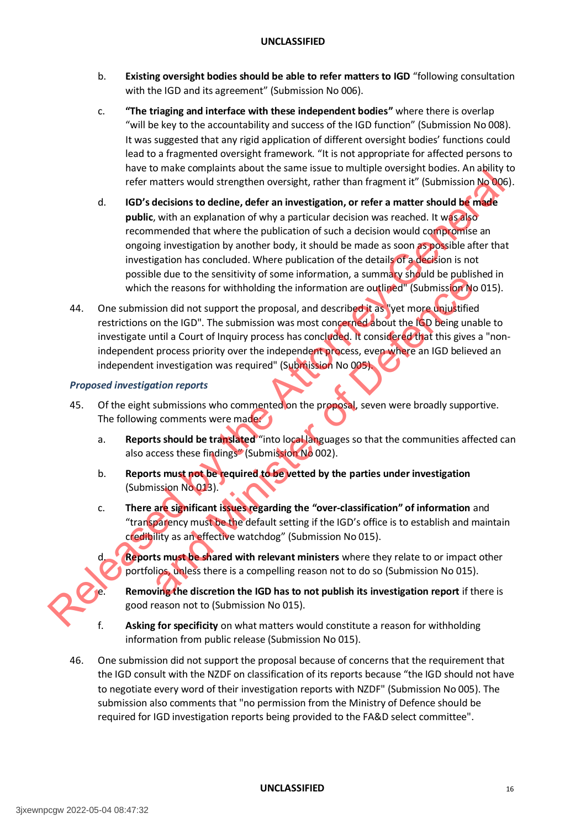- b. **Existing oversight bodies should be able to refer matters to IGD** "following consultation with the IGD and its agreement" (Submission No 006).
- c. **"The triaging and interface with these independent bodies"** where there is overlap "will be key to the accountability and success of the IGD function" (Submission No 008). It was suggested that any rigid application of different oversight bodies' functions could lead to a fragmented oversight framework. "It is not appropriate for affected persons to have to make complaints about the same issue to multiple oversight bodies. An ability to refer matters would strengthen oversight, rather than fragment it" (Submission No 006).
- d. **IGD's decisions to decline, defer an investigation, or refer a matter should be made public**, with an explanation of why a particular decision was reached. It was also recommended that where the publication of such a decision would compromise an ongoing investigation by another body, it should be made as soon as possible after that investigation has concluded. Where publication of the details of a decision is not possible due to the sensitivity of some information, a summary should be published in which the reasons for withholding the information are outlined" (Submission No 015). Free matters would strengthen oversight, achieve the material consideration of the attack of the complete and the special consideration of the attack of the attack of the matter should consider the attack of the company in
	- 44. One submission did not support the proposal, and described it as "yet more unjustified restrictions on the IGD". The submission was most concerned about the IGD being unable to investigate until a Court of Inquiry process has concluded. It considered that this gives a "nonindependent process priority over the independent process, even where an IGD believed an independent investigation was required" (Submission No 005). and the team of Strainery of some intended to be used in the discretion of the discretion of the discretion of the reasons for withholding the information are outlined" (submission Non did not support the proposal, and des

#### *Proposed investigation reports*

- 45. Of the eight submissions who commented on the proposal, seven were broadly supportive. The following comments were made
	- a. **Reports should be translated** "into local languages so that the communities affected can also access these findings" (Submission No 002).
	- b. **Reports must not be required to be vetted by the parties under investigation** (Submission No 013).
	- c. **There are significant issues regarding the "over-classification" of information** and "transparency must be the default setting if the IGD's office is to establish and maintain credibility as an effective watchdog" (Submission No 015).
		- d. **Reports must be shared with relevant ministers** where they relate to or impact other portfolios, unless there is a compelling reason not to do so (Submission No 015).

**Removing the discretion the IGD has to not publish its investigation report** if there is good reason not to (Submission No 015).

- f. **Asking for specificity** on what matters would constitute a reason for withholding information from public release (Submission No 015).
- 46. One submission did not support the proposal because of concerns that the requirement that the IGD consult with the NZDF on classification of its reports because "the IGD should not have to negotiate every word of their investigation reports with NZDF" (Submission No 005). The submission also comments that "no permission from the Ministry of Defence should be required for IGD investigation reports being provided to the FA&D select committee".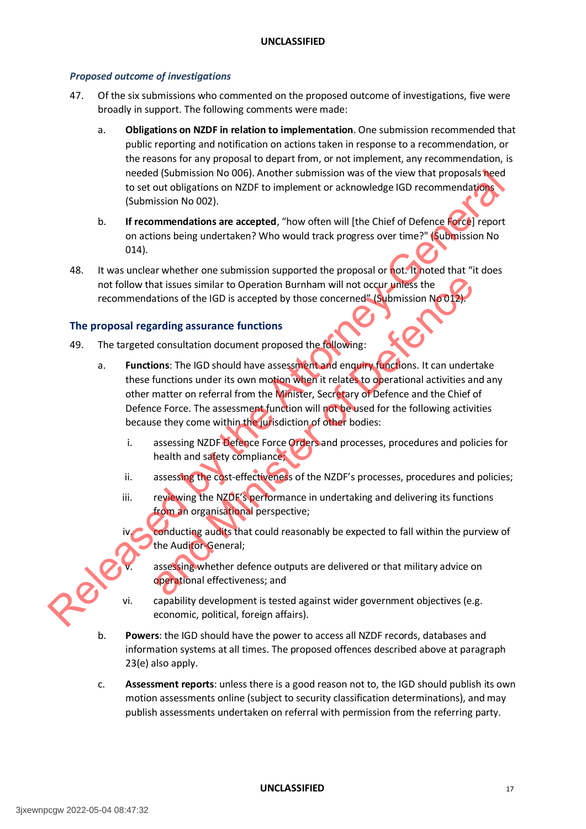#### *Proposed outcome of investigations*

- 47. Of the six submissions who commented on the proposed outcome of investigations, five were broadly in support. The following comments were made:
	- a. **Obligations on NZDF in relation to implementation**. One submission recommended that public reporting and notification on actions taken in response to a recommendation, or the reasons for any proposal to depart from, or not implement, any recommendation, is needed (Submission No 006). Another submission was of the view that proposals need to set out obligations on NZDF to implement or acknowledge IGD recommendations (Submission No 002).
	- b. **If recommendations are accepted**, "how often will [the Chief of Defence Force] report on actions being undertaken? Who would track progress over time?" (Submission No 014).
- 48. It was unclear whether one submission supported the proposal or not. It noted that "it does not follow that issues similar to Operation Burnham will not occur unless the recommendations of the IGD is accepted by those concerned" (Submission No 012).

#### <span id="page-17-0"></span>**The proposal regarding assurance functions**

- 49. The targeted consultation document proposed the following:
- a. **Functions**: The IGD should have assessment and enquiry functions. It can undertake these functions under its own motion when it relates to operational activities and any other matter on referral from the Minister, Secretary of Defence and the Chief of Defence Force. The assessment function will not be used for the following activities because they come within the jurisdiction of other bodies: meeted (Submission No 005). Another submission was of the view that proposals here the view that proposals (Submission No 002).<br>
B. If commentations are accepted, "how often will [the Chief of Defence for exponential const and issues similar to Operation Burnham will not occur unless the<br>ations of the IGD is accepted by those concerned" (Submission NoOD).<br>arding assurance functions<br>consultation document proposed the following:<br>consultation d
	- i. assessing NZDF Defence Force Orders and processes, procedures and policies for health and safety compliance;
	- ii. assessing the cost-effectiveness of the NZDF's processes, procedures and policies;
	- iii. reviewing the NZDF's performance in undertaking and delivering its functions from an organisational perspective;
		- conducting audits that could reasonably be expected to fall within the purview of the Auditor-General;
			- assessing whether defence outputs are delivered or that military advice on operational effectiveness; and
	- vi. capability development is tested against wider government objectives (e.g. economic, political, foreign affairs).
	- b. **Powers**: the IGD should have the power to access all NZDF records, databases and information systems at all times. The proposed offences described above at paragraph 23(e) also apply.
	- c. **Assessment reports**: unless there is a good reason not to, the IGD should publish its own motion assessments online (subject to security classification determinations), and may publish assessments undertaken on referral with permission from the referring party.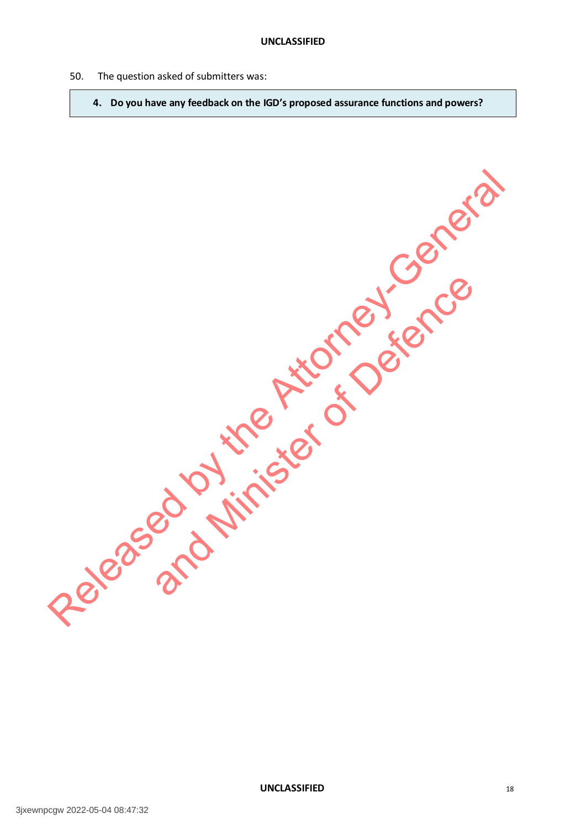- <span id="page-18-0"></span>50. The question asked of submitters was:
	- **4. Do you have any feedback on the IGD's proposed assurance functions and powers?**

Released by the Attorney-General and Minister of Defence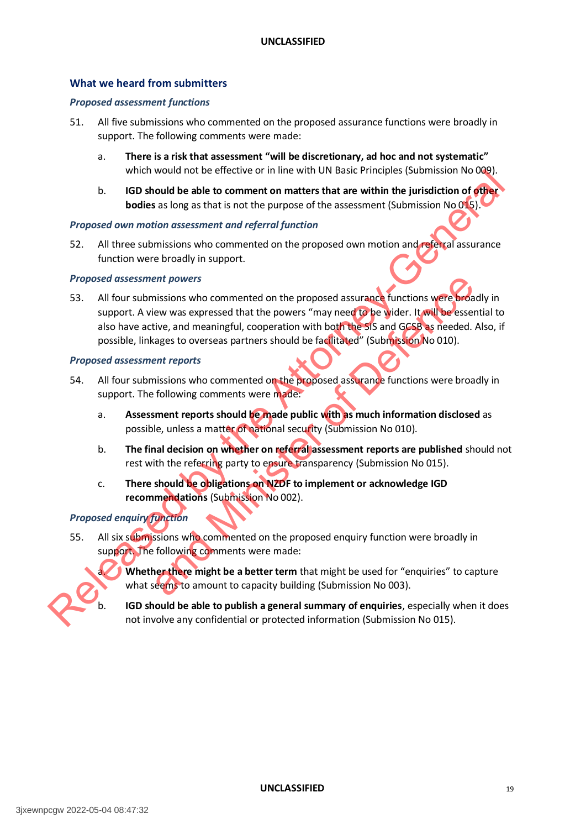#### **What we heard from submitters**

#### *Proposed assessment functions*

- 51. All five submissions who commented on the proposed assurance functions were broadly in support. The following comments were made:
	- a. **There is a risk that assessment "will be discretionary, ad hoc and not systematic"** which would not be effective or in line with UN Basic Principles (Submission No 009).
	- b. **IGD should be able to comment on matters that are within the jurisdiction of other bodies** as long as that is not the purpose of the assessment (Submission No 015).

#### *Proposed own motion assessment and referral function*

52. All three submissions who commented on the proposed own motion and referral assurance function were broadly in support.

#### *Proposed assessment powers*

53. All four submissions who commented on the proposed assurance functions were broadly in support. A view was expressed that the powers "may need to be wider. It will be essential to also have active, and meaningful, cooperation with both the SIS and GCSB as needed. Also, if possible, linkages to overseas partners should be facilitated" (Submission No 010). Which would not be the the through the the three than the attent of the attent of the attent of the attent of the Attenties of the assessment (Submission No.015).<br>
By the Attenties as long as that is not the purpose of th ent powers<br>
nissions who commented on the proposed assurance functions were broad<br>
ew was expressed that the powers "may need to be wider. It will be essee<br>
tive, and meaningful, cooperation with both the SIS and GGB as ne

#### *Proposed assessment reports*

- 54. All four submissions who commented on the proposed assurance functions were broadly in support. The following comments were made:
	- a. **Assessment reports should be made public with as much information disclosed** as possible, unless a matter of national security (Submission No 010).
	- b. **The final decision on whether on referral assessment reports are published** should not rest with the referring party to ensure transparency (Submission No 015).
	- c. **There should be obligations on NZDF to implement or acknowledge IGD recommendations** (Submission No 002).

#### *Proposed enquiry function*

55. All six submissions who commented on the proposed enquiry function were broadly in support. The following comments were made:



**Whether there might be a better term** that might be used for "enquiries" to capture what seems to amount to capacity building (Submission No 003).

b. **IGD should be able to publish a general summary of enquiries**, especially when it does not involve any confidential or protected information (Submission No 015).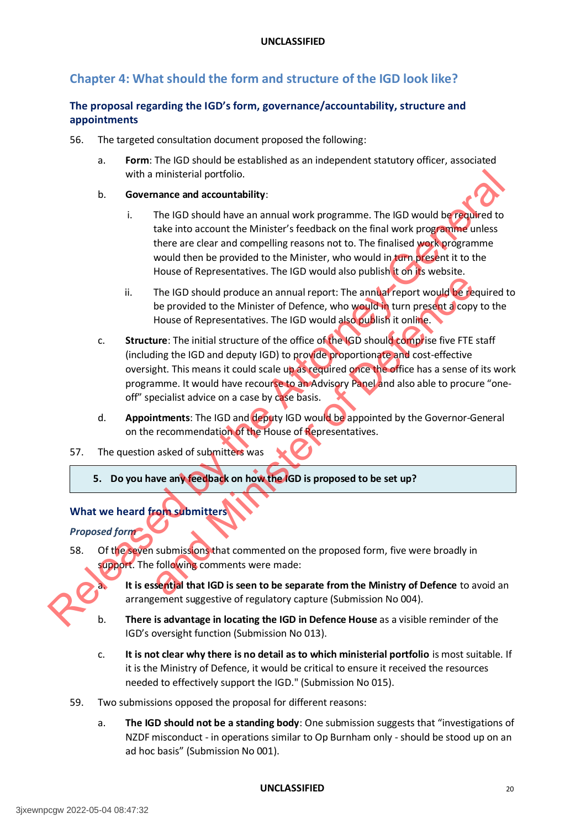# <span id="page-20-0"></span>**Chapter 4: What should the form and structure of the IGD look like?**

# <span id="page-20-1"></span>**The proposal regarding the IGD's form, governance/accountability, structure and appointments**

- 56. The targeted consultation document proposed the following:
	- a. **Form**: The IGD should be established as an independent statutory officer, associated with a ministerial portfolio.
	- b. **Governance and accountability**:
		- i. The IGD should have an annual work programme. The IGD would be required to take into account the Minister's feedback on the final work programme unless there are clear and compelling reasons not to. The finalised work programme would then be provided to the Minister, who would in turn present it to the House of Representatives. The IGD would also publish it on its website.
		- ii. The IGD should produce an annual report: The annual report would be required to be provided to the Minister of Defence, who would in turn present a copy to the House of Representatives. The IGD would also publish it online.
- c. **Structure**: The initial structure of the office of the IGD should comprise five FTE staff (including the IGD and deputy IGD) to provide proportionate and cost-effective oversight. This means it could scale up as required once the office has a sense of its work programme. It would have recourse to an Advisory Panel and also able to procure "oneoff" specialist advice on a case by case basis. with a ministerial portfolio.<br>
B. Governance and accounts the Attorney-General control is the final work programme. The IGO would be released to<br>
the release into account the Minister's feedback on the final work programme The IGD should produce an annual report: The annual report would be the<br>be provided to the Minister of Defence, who would in turn present a copy<br>House of Representatives. The IGD would also outlish it online.<br>Lure: The ini
	- d. **Appointments**: The IGD and deputy IGD would be appointed by the Governor-General on the recommendation of the House of Representatives.
	- 57. The question asked of submitters was

**5. Do you have any feedback on how the IGD is proposed to be set up?**

# <span id="page-20-2"></span>**What we heard from submitters**

*Proposed form* 

58. Of the seven submissions that commented on the proposed form, five were broadly in support. The following comments were made:

> It is essential that IGD is seen to be separate from the Ministry of Defence to avoid an arrangement suggestive of regulatory capture (Submission No 004).

- b. **There is advantage in locating the IGD in Defence House** as a visible reminder of the IGD's oversight function (Submission No 013).
- c. **It is not clear why there is no detail as to which ministerial portfolio** is most suitable. If it is the Ministry of Defence, it would be critical to ensure it received the resources needed to effectively support the IGD." (Submission No 015).
- 59. Two submissions opposed the proposal for different reasons:
	- a. **The IGD should not be a standing body**: One submission suggests that "investigations of NZDF misconduct - in operations similar to Op Burnham only - should be stood up on an ad hoc basis" (Submission No 001).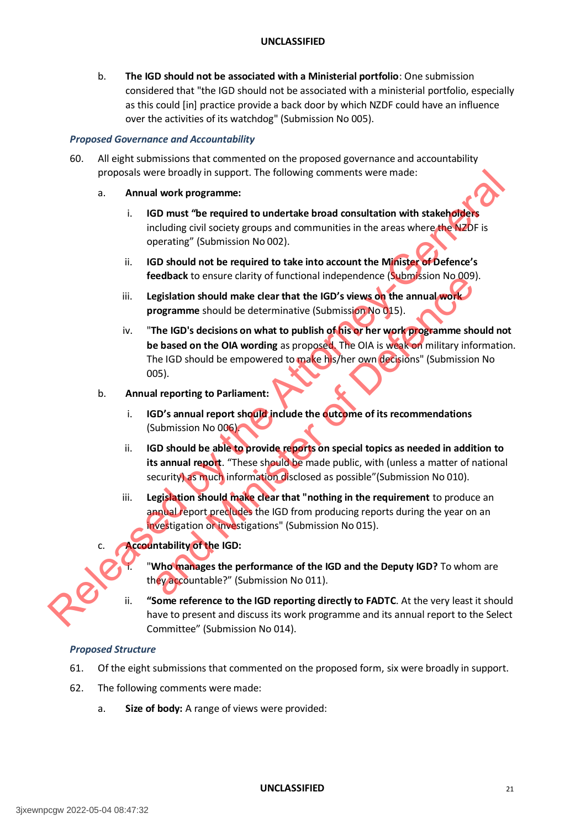b. **The IGD should not be associated with a Ministerial portfolio**: One submission considered that "the IGD should not be associated with a ministerial portfolio, especially as this could [in] practice provide a back door by which NZDF could have an influence over the activities of its watchdog" (Submission No 005).

#### *Proposed Governance and Accountability*

- 60. All eight submissions that commented on the proposed governance and accountability proposals were broadly in support. The following comments were made:
	- a. **Annual work programme:**
		- i. **IGD must "be required to undertake broad consultation with stakeholders** including civil society groups and communities in the areas where the NZDF is operating" (Submission No 002).
		- ii. **IGD should not be required to take into account the Minister of Defence's feedback** to ensure clarity of functional independence (Submission No 009).
		- iii. **Legislation should make clear that the IGD's views on the annual work programme** should be determinative (Submission No 015).
- iv. "**The IGD's decisions on what to publish of his or her work programme should not be based on the OIA wording** as proposed. The OIA is weak on military information. The IGD should be empowered to make his/her own decisions" (Submission No 005). proposals were broadly in support. The following comments were made:<br>
a. Annual work programme: is considerable broad consultation with statehytights<br>
including child scotter groups and communities in the areas where the V beta to ensure Carry of Functional Inteperioence (Submission No 009<br>Egislation should make clear that the IGD's views on the annual work<br>organime should be determinative (Submission No 015).<br>The IGD's decisions on what to

#### b. **Annual reporting to Parliament:**

- i. **IGD's annual report should include the outcome of its recommendations** (Submission No 006).
- ii. **IGD should be able to provide reports on special topics as needed in addition to its annual report**. "These should be made public, with (unless a matter of national security) as much information disclosed as possible"(Submission No 010).
- iii. **Legislation should make clear that "nothing in the requirement** to produce an annual report precludes the IGD from producing reports during the year on an investigation or investigations" (Submission No 015).

# **Accountability of the IGD:**



**"Who manages the performance of the IGD and the Deputy IGD?** To whom are they accountable?" (Submission No 011).

ii. **"Some reference to the IGD reporting directly to FADTC**. At the very least it should have to present and discuss its work programme and its annual report to the Select Committee" (Submission No 014).

#### *Proposed Structure*

- 61. Of the eight submissions that commented on the proposed form, six were broadly in support.
- 62. The following comments were made:
	- a. **Size of body:** A range of views were provided: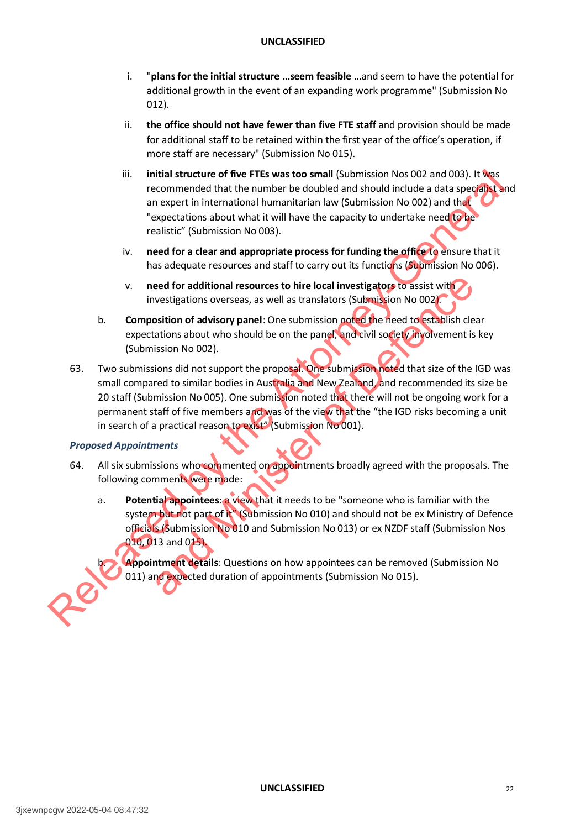- i. "**plans for the initial structure …seem feasible** …and seem to have the potential for additional growth in the event of an expanding work programme" (Submission No 012).
- ii. **the office should not have fewer than five FTE staff** and provision should be made for additional staff to be retained within the first year of the office's operation, if more staff are necessary" (Submission No 015).
- iii. **initial structure of five FTEs was too small** (Submission Nos 002 and 003). It was recommended that the number be doubled and should include a data specialist and an expert in international humanitarian law (Submission No 002) and that "expectations about what it will have the capacity to undertake need to be realistic" (Submission No 003).
- iv. **need for a clear and appropriate process for funding the office** to ensure that it has adequate resources and staff to carry out its functions (Submission No 006).
- v. **need for additional resources to hire local investigators** to assist with investigations overseas, as well as translators (Submission No 002)
- b. **Composition of advisory panel**: One submission noted the need to establish clear expectations about who should be on the panel, and civil society involvement is key (Submission No 002).
- 63. Two submissions did not support the proposal. One submission noted that size of the IGD was small compared to similar bodies in Australia and New Zealand, and recommended its size be 20 staff (Submission No 005). One submission noted that there will not be ongoing work for a permanent staff of five members and was of the view that the "the IGD risks becoming a unit in search of a practical reason to exist" (Submission No 001). III. Initial structure of five FTES was too small (submission Nos 002 and 003). It was the Attachmonal humanitarian law (submission No 002) and the "expectations about what it will have the capacity to undertake need the eed for additional resources to hire local investigators to assist with<br>vestigations overseas, as well as translators (Submission No 002)<br>and more difference of the submission poted the need to establish clear<br>to a divisor

#### *Proposed Appointments*

- 64. All six submissions who commented on appointments broadly agreed with the proposals. The following comments were made:
	- a. **Potential appointees**: a view that it needs to be "someone who is familiar with the system but not part of it" (Submission No 010) and should not be ex Ministry of Defence officials (Submission No 010 and Submission No 013) or ex NZDF staff (Submission Nos 010, 013 and 015).

Appointment details: Questions on how appointees can be removed (Submission No 011) and expected duration of appointments (Submission No 015).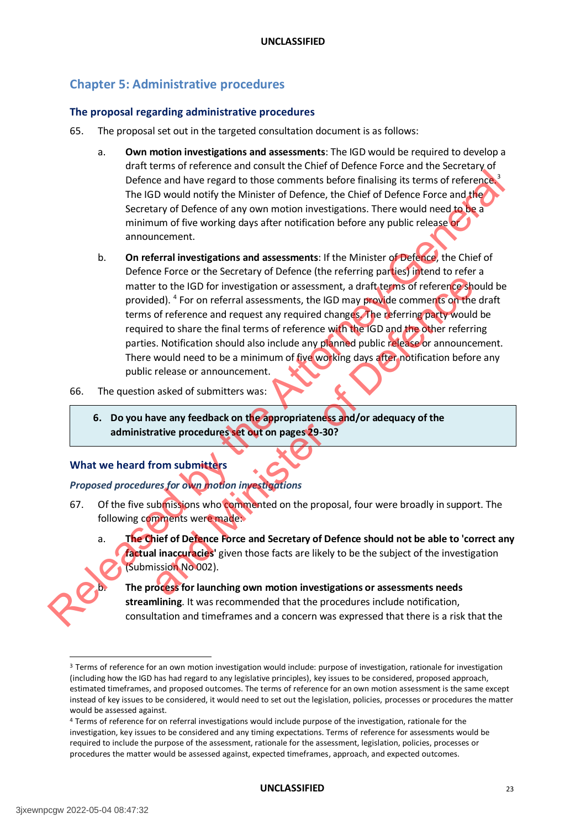# <span id="page-23-0"></span>**Chapter 5: Administrative procedures**

#### <span id="page-23-1"></span>**The proposal regarding administrative procedures**

- 65. The proposal set out in the targeted consultation document is as follows:
	- a. **Own motion investigations and assessments**: The IGD would be required to develop a draft terms of reference and consult the Chief of Defence Force and the Secretary of Defence and have regard to those comments before finalising its terms of reference.<sup>3</sup> The IGD would notify the Minister of Defence, the Chief of Defence Force and the Secretary of Defence of any own motion investigations. There would need to be a minimum of five working days after notification before any public release or announcement.
- b. **On referral investigations and assessments**: If the Minister of Defence, the Chief of Defence Force or the Secretary of Defence (the referring parties) intend to refer a matter to the IGD for investigation or assessment, a draft terms of reference should be provided). <sup>4</sup> For on referral assessments, the IGD may provide comments on the draft terms of reference and request any required changes. The referring party would be required to share the final terms of reference with the IGD and the other referring parties. Notification should also include any planned public release or announcement. There would need to be a minimum of five working days after notification before any public release or announcement. Defence and have regard to those comments before finalising its terms of reference and the Go would noted hy the Minister of Defence fore and the minister of the Chief of Defence fore and the minister of the Chief of minis and the IGD for investigation or assessment, a draft terms of references and the IGD for investigation or assessment, a draft terms of references and of of eference and request any required changes. The referring party wou
	- 66. The question asked of submitters was:
		- **6. Do you have any feedback on the appropriateness and/or adequacy of the administrative procedures set out on pages 29-30?**

#### <span id="page-23-2"></span>**What we heard from submitters**

#### *Proposed procedures for own motion investigations*

- 67. Of the five submissions who commented on the proposal, four were broadly in support. The following comments were made:
	- a. **The Chief of Defence Force and Secretary of Defence should not be able to 'correct any factual inaccuracies'** given those facts are likely to be the subject of the investigation (Submission No 002).



<sup>&</sup>lt;sup>3</sup> Terms of reference for an own motion investigation would include: purpose of investigation, rationale for investigation (including how the IGD has had regard to any legislative principles), key issues to be considered, proposed approach, estimated timeframes, and proposed outcomes. The terms of reference for an own motion assessment is the same except instead of key issues to be considered, it would need to set out the legislation, policies, processes or procedures the matter would be assessed against.

#### **UNCLASSIFIED** 23

<sup>4</sup> Terms of reference for on referral investigations would include purpose of the investigation, rationale for the investigation, key issues to be considered and any timing expectations. Terms of reference for assessments would be required to include the purpose of the assessment, rationale for the assessment, legislation, policies, processes or procedures the matter would be assessed against, expected timeframes, approach, and expected outcomes.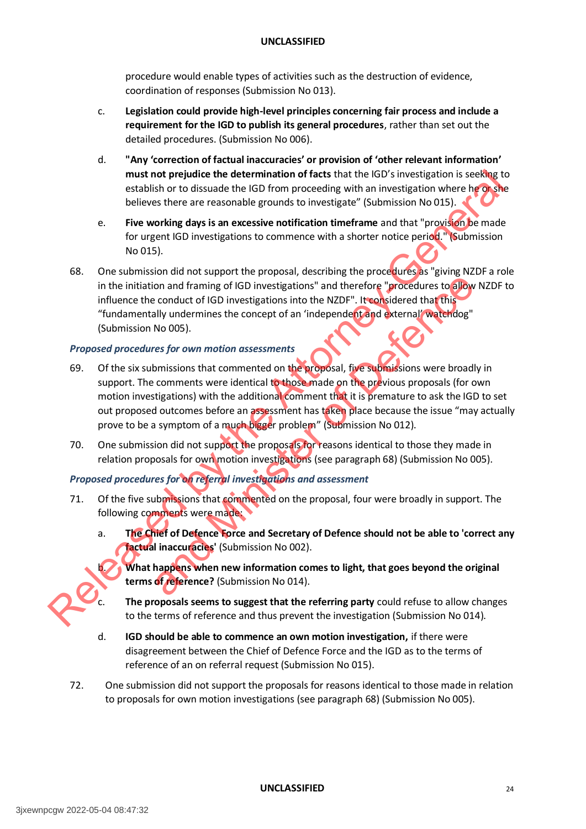procedure would enable types of activities such as the destruction of evidence, coordination of responses (Submission No 013).

- c. **Legislation could provide high-level principles concerning fair process and include a requirement for the IGD to publish its general procedures**, rather than set out the detailed procedures. (Submission No 006).
- d. **"Any 'correction of factual inaccuracies' or provision of 'other relevant information' must not prejudice the determination of facts** that the IGD's investigation is seeking to establish or to dissuade the IGD from proceeding with an investigation where he or she believes there are reasonable grounds to investigate" (Submission No 015).
- e. **Five working days is an excessive notification timeframe** and that "provision be made for urgent IGD investigations to commence with a shorter notice period." (Submission No 015).
- 68. One submission did not support the proposal, describing the procedures as "giving NZDF a role in the initiation and framing of IGD investigations" and therefore "procedures to allow NZDF to influence the conduct of IGD investigations into the NZDF". It considered that this "fundamentally undermines the concept of an 'independent and external' watchdog" (Submission No 005).

#### *Proposed procedures for own motion assessments*

- 69. Of the six submissions that commented on the proposal, five submissions were broadly in support. The comments were identical to those made on the previous proposals (for own motion investigations) with the additional comment that it is premature to ask the IGD to set out proposed outcomes before an assessment has taken place because the issue "may actually prove to be a symptom of a much bigger problem" (Submission No 012). must not preliate the determination of facts that the IGD's investigation is seeking to<br>testiblish or to dissuade the IGD from proceeding with an investigation where he advertised between the relations are exposured to inv on and framing of IGD investigations" and therefore "procedures to allow<br>
conduct of IGD investigations into the NZDF". It considered that this<br>
filly undermines the concept of an 'independent and determal' watchdog"<br>
No 0
	- 70. One submission did not support the proposals for reasons identical to those they made in relation proposals for own motion investigations (see paragraph 68) (Submission No 005).

# *Proposed procedures for on referral investigations and assessment*

- 71. Of the five submissions that commented on the proposal, four were broadly in support. The following comments were made:
	- a. **The Chief of Defence Force and Secretary of Defence should not be able to 'correct any factual inaccuracies'** (Submission No 002).

What happens when new information comes to light, that goes beyond the original **terms of reference?** (Submission No 014).



The proposals seems to suggest that the referring party could refuse to allow changes to the terms of reference and thus prevent the investigation (Submission No 014).

- d. **IGD should be able to commence an own motion investigation,** if there were disagreement between the Chief of Defence Force and the IGD as to the terms of reference of an on referral request (Submission No 015).
- 72. One submission did not support the proposals for reasons identical to those made in relation to proposals for own motion investigations (see paragraph 68) (Submission No 005).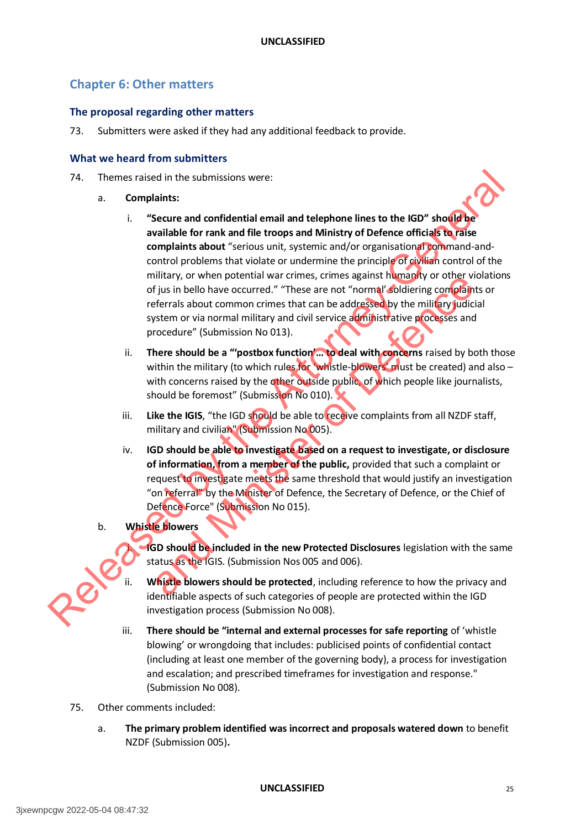# <span id="page-25-0"></span>**Chapter 6: Other matters**

#### <span id="page-25-1"></span>**The proposal regarding other matters**

73. Submitters were asked if they had any additional feedback to provide.

#### <span id="page-25-2"></span>**What we heard from submitters**

- 74. Themes raised in the submissions were:
	- a. **Complaints:**
- i. **"Secure and confidential email and telephone lines to the IGD" should be available for rank and file troops and Ministry of Defence officials to raise complaints about** "serious unit, systemic and/or organisational command-andcontrol problems that violate or undermine the principle of civilian control of the military, or when potential war crimes, crimes against humanity or other violations of jus in bello have occurred." "These are not "normal' soldiering complaints or referrals about common crimes that can be addressed by the military judicial system or via normal military and civil service administrative processes and procedure" (Submission No 013). 74. Themes raised in the submissions were:<br>
a. Complaints:<br>
i. "Secure and confidential email and telephone lines to the IGD" shoulder<br>
wailable for rank and file troops and Ministry of Defence officials To axis<br>
contribu
	- ii. **There should be a "'postbox function'… to deal with concerns** raised by both those within the military (to which rules for 'whistle-blowers' must be created) and also  $$ with concerns raised by the other outside public, of which people like journalists, should be foremost" (Submission No 010).
	- iii. **Like the IGIS**, "the IGD should be able to receive complaints from all NZDF staff, military and civilian" (Submission No 005).
	- iv. **IGD should be able to investigate based on a request to investigate, or disclosure of information, from a member of the public,** provided that such a complaint or request to investigate meets the same threshold that would justify an investigation "on referral" by the Minister of Defence, the Secretary of Defence, or the Chief of Defence Force" (Submission No 015). mutativy or when potential wat cultures, cultures against martial particular transverse is provided to the private the private complete is a set of "normal" solidiering completing the distribution of the set of the matter
	- b. **Whistle blowers**



- **IGD should be included in the new Protected Disclosures** legislation with the same status as the IGIS. (Submission Nos 005 and 006).
- Whistle blowers should be protected, including reference to how the privacy and identifiable aspects of such categories of people are protected within the IGD investigation process (Submission No 008).
- iii. **There should be "internal and external processes for safe reporting** of 'whistle blowing' or wrongdoing that includes: publicised points of confidential contact (including at least one member of the governing body), a process for investigation and escalation; and prescribed timeframes for investigation and response." (Submission No 008).
- 75. Other comments included:
	- a. **The primary problem identified was incorrect and proposals watered down** to benefit NZDF (Submission 005)**.**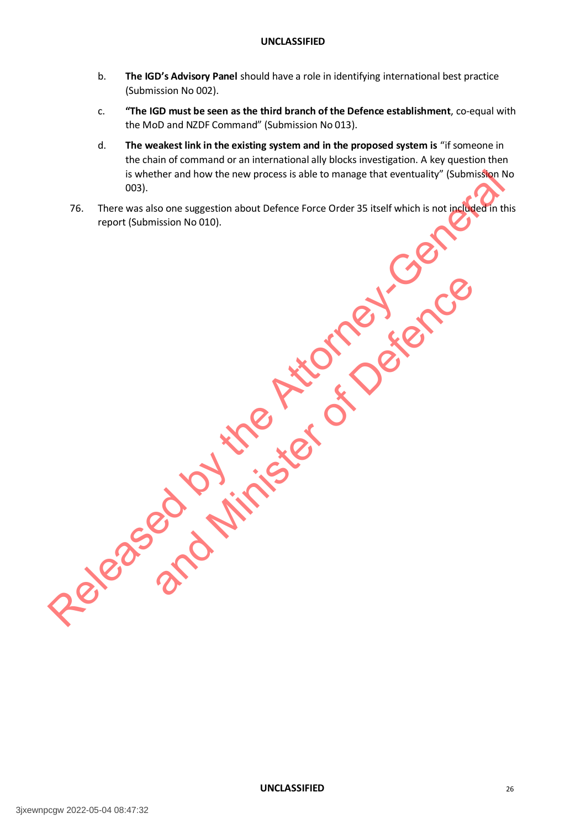- b. **The IGD's Advisory Panel** should have a role in identifying international best practice (Submission No 002).
- c. **"The IGD must be seen as the third branch of the Defence establishment**, co-equal with the MoD and NZDF Command" (Submission No 013).
- d. **The weakest link in the existing system and in the proposed system is** "if someone in the chain of command or an international ally blocks investigation. A key question then is whether and how the new process is able to manage that eventuality" (Submission No 003).

and Minister of Defence

76. There was also one suggestion about Defence Force Order 35 itself which is not included in this report (Submission No 010). Is whether and how the new process is able to mange that eventuality" (Submission No D10).<br>
TR. There was also one suggestion about Defence Force Order 35 itself which is not including the theory<br>
report (Submission No D10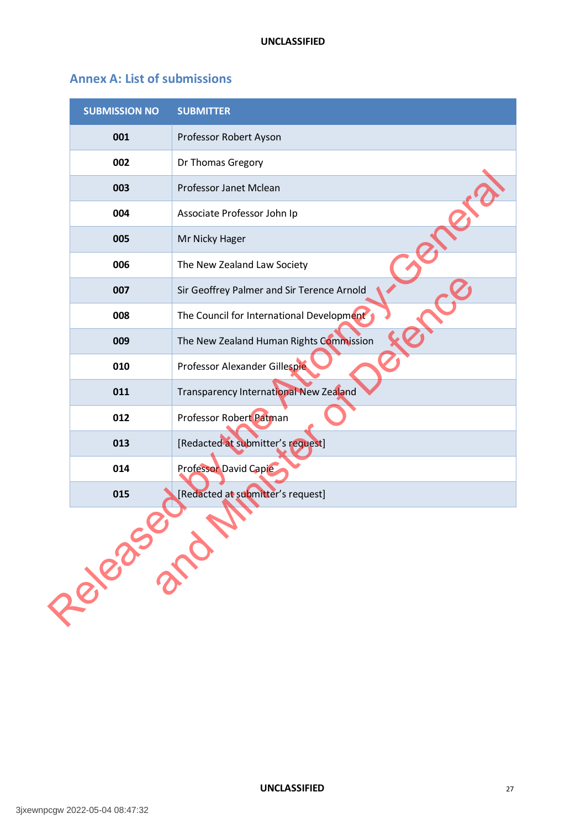# <span id="page-27-0"></span>**Annex A: List of submissions**

| <b>SUBMISSION NO</b> | <b>SUBMITTER</b>                           |
|----------------------|--------------------------------------------|
| 001                  | Professor Robert Ayson                     |
| 002                  | Dr Thomas Gregory                          |
| 003                  | Professor Janet Mclean                     |
| 004                  | Associate Professor John Ip                |
| 005                  | Mr Nicky Hager                             |
| 006                  | The New Zealand Law Society                |
| 007                  | Sir Geoffrey Palmer and Sir Terence Arnold |
| 008                  | The Council for International Development  |
| 009                  | The New Zealand Human Rights Commission    |
| 010                  | Professor Alexander Gillespie              |
| 011                  | Transparency International New Zealand     |
| 012                  | Professor Robert Patman                    |
| 013                  | [Redacted at submitter's request]          |
| 014                  | Professor David Capie                      |
| 015                  | [Redacted at submitter's request]          |
| Reagand              |                                            |